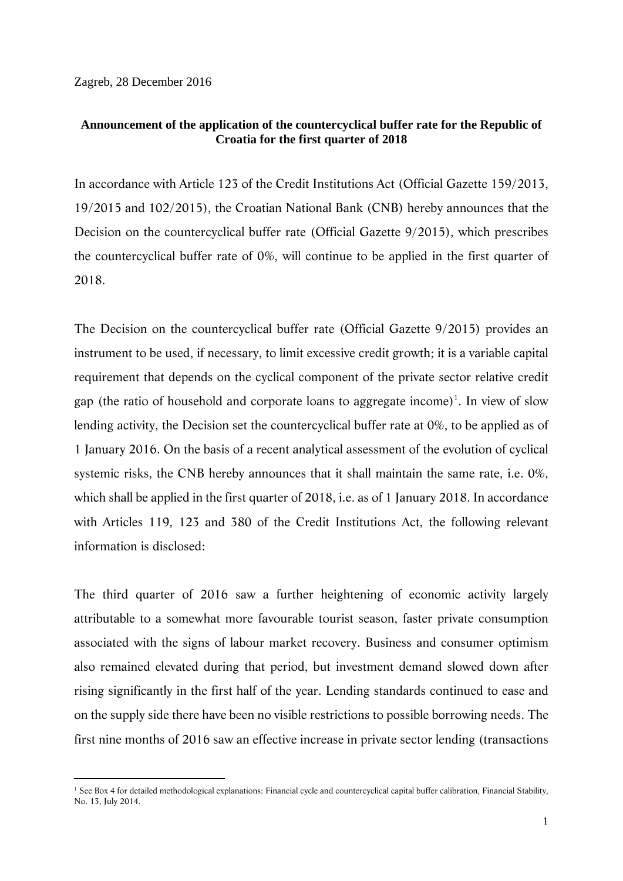Zagreb, 28 December 2016

-

## **Announcement of the application of the countercyclical buffer rate for the Republic of Croatia for the first quarter of 2018**

In accordance with Article 123 of the Credit Institutions Act (Official Gazette 159/2013, 19/2015 and 102/2015), the Croatian National Bank (CNB) hereby announces that the Decision on the countercyclical buffer rate (Official Gazette 9/2015), which prescribes the countercyclical buffer rate of 0%, will continue to be applied in the first quarter of 2018.

The Decision on the countercyclical buffer rate (Official Gazette 9/2015) provides an instrument to be used, if necessary, to limit excessive credit growth; it is a variable capital requirement that depends on the cyclical component of the private sector relative credit gap (the ratio of household and corporate loans to aggregate income)<sup>1</sup>. In view of slow lending activity, the Decision set the countercyclical buffer rate at 0%, to be applied as of 1 January 2016. On the basis of a recent analytical assessment of the evolution of cyclical systemic risks, the CNB hereby announces that it shall maintain the same rate, i.e. 0%, which shall be applied in the first quarter of 2018, i.e. as of 1 January 2018. In accordance with Articles 119, 123 and 380 of the Credit Institutions Act, the following relevant information is disclosed:

The third quarter of 2016 saw a further heightening of economic activity largely attributable to a somewhat more favourable tourist season, faster private consumption associated with the signs of labour market recovery. Business and consumer optimism also remained elevated during that period, but investment demand slowed down after rising significantly in the first half of the year. Lending standards continued to ease and on the supply side there have been no visible restrictions to possible borrowing needs. The first nine months of 2016 saw an effective increase in private sector lending (transactions

<sup>&</sup>lt;sup>1</sup> See Box 4 for detailed methodological explanations: Financial cycle and countercyclical capital buffer calibration, Financial Stability, No. 13, July 2014.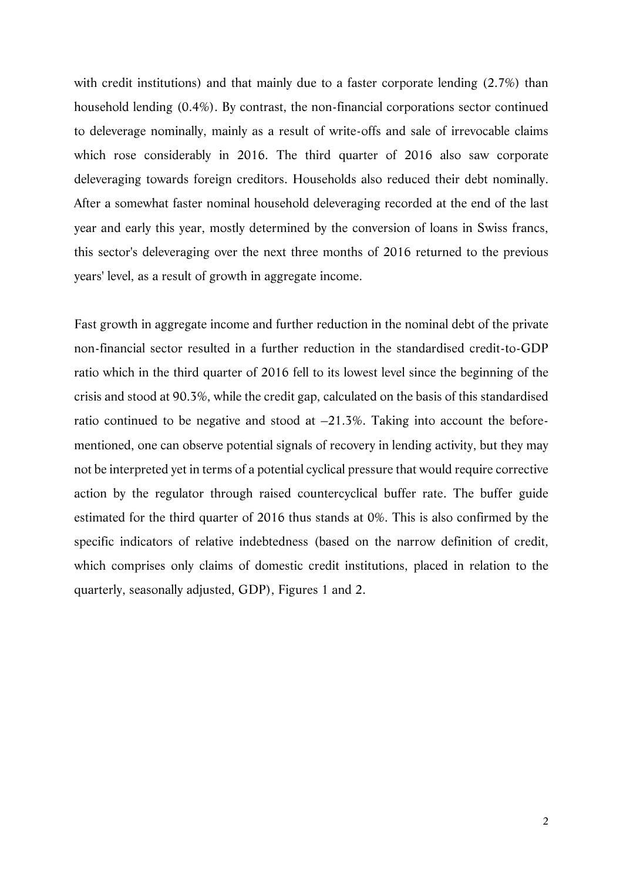with credit institutions) and that mainly due to a faster corporate lending (2.7%) than household lending (0.4%). By contrast, the non-financial corporations sector continued to deleverage nominally, mainly as a result of write-offs and sale of irrevocable claims which rose considerably in 2016. The third quarter of 2016 also saw corporate deleveraging towards foreign creditors. Households also reduced their debt nominally. After a somewhat faster nominal household deleveraging recorded at the end of the last year and early this year, mostly determined by the conversion of loans in Swiss francs, this sector's deleveraging over the next three months of 2016 returned to the previous years' level, as a result of growth in aggregate income.

Fast growth in aggregate income and further reduction in the nominal debt of the private non-financial sector resulted in a further reduction in the standardised credit-to-GDP ratio which in the third quarter of 2016 fell to its lowest level since the beginning of the crisis and stood at 90.3%, while the credit gap, calculated on the basis of this standardised ratio continued to be negative and stood at  $-21.3\%$ . Taking into account the beforementioned, one can observe potential signals of recovery in lending activity, but they may not be interpreted yet in terms of a potential cyclical pressure that would require corrective action by the regulator through raised countercyclical buffer rate. The buffer guide estimated for the third quarter of 2016 thus stands at 0%. This is also confirmed by the specific indicators of relative indebtedness (based on the narrow definition of credit, which comprises only claims of domestic credit institutions, placed in relation to the quarterly, seasonally adjusted, GDP), Figures 1 and 2.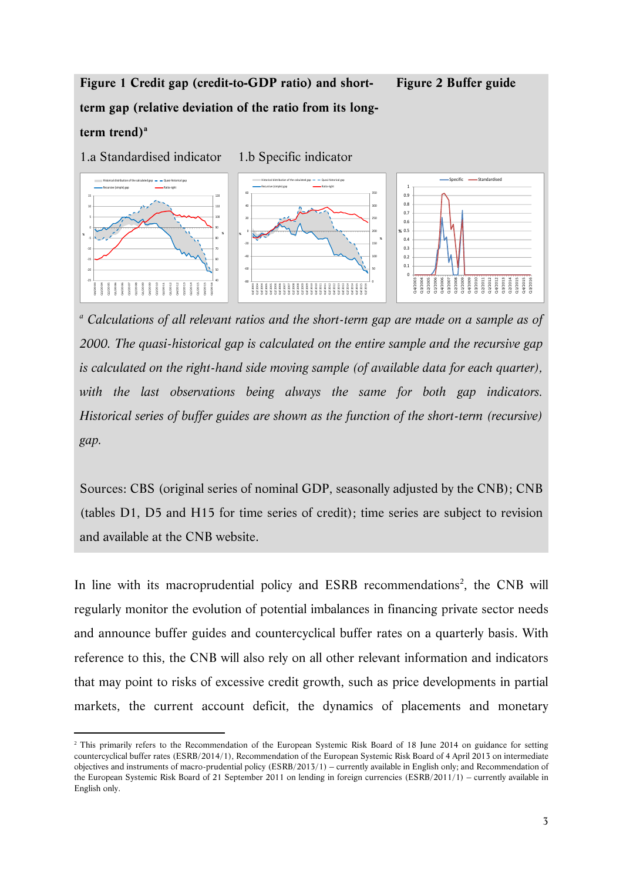## **Figure 1 Credit gap (credit-to-GDP ratio) and shortterm gap (relative deviation of the ratio from its long**term trend)<sup>a</sup> **Figure 2 Buffer guide**

1.a Standardised indicator 1.b Specific indicator 40 50 60 70 80 90 100 110 120 ‐25 ‐20  $\ddot{1}$ ‐10 ‐5 0 10 15 Q4/2003 Q3/2004 Q2/2005 Q1/2006 Q4/2006 Q3/2007 Q2/2008 Q1/2009 Q4/2009 Q3/2010 Q2/2011 Q1/2012 Q4/2012 Q3/2013 Q2/2014 Q1/2015 Q4/2015 Q2/2016 **% %** Historical distribution of the calculated gap  $-\phantom{1}$  Quasi-historical gap Recursive (simple) gap **Ratio**–Ratio–right 50 100 150 200 <sub>250</sub> 300 350 ‐80 .<br>م. ‐40 ‐20 0 20 40 60 Q4/2003 Q2/2004 Q4/2004 Q4/2005 Q2/2006 Q4/2006 Q2/2007 Q4/2007 Q2/2008 Q4/2008 Q2/2010 Q4/2010 Q2/2011 Q4/2011 Q2/2012 Q4/2012 Q2/2013 Q4/2013 Q2/2014 Q4/2014 Q2/2015 Q4/2015 Q2/2016 **% %** Historical distribution of the calculated gap – – Quasi-historical gap Recursive (simple) gap **Accursive Communication** Ratio-right  $\mathfrak{c}$ 0.1  $0.2$ 0.3  $0.4$ 0.5 **%** 0.6 0.7 0.8 0.9 1 Q4/2003 Q3/2004 Q2/2005 Q1/2006 Q4/2006 Q3/2007 Q2/2008 Q1/2009 Q4/2009 Q3/2010 Q2/2011<br>Q1/2012<br>Q3/2013<br>Q3/2014<br>Q3/2014  $1/2015$ Q4/2015 Q3/2016 Specific **- Standardised** 

<sup>a</sup> Calculations of all relevant ratios and the short-term gap are made on a sample as of *2000. The quasi-historical gap is calculated on the entire sample and the recursive gap is calculated on the right-hand side moving sample (of available data for each quarter),*  with the last observations being always the same for both gap indicators. *Historical series of buffer guides are shown as the function of the short-term (recursive) gap.* 

Sources: CBS (original series of nominal GDP, seasonally adjusted by the CNB); CNB (tables D1, D5 and H15 for time series of credit); time series are subject to revision and available at the CNB website.

In line with its macroprudential policy and ESRB recommendations<sup>2</sup>, the CNB will regularly monitor the evolution of potential imbalances in financing private sector needs and announce buffer guides and countercyclical buffer rates on a quarterly basis. With reference to this, the CNB will also rely on all other relevant information and indicators that may point to risks of excessive credit growth, such as price developments in partial markets, the current account deficit, the dynamics of placements and monetary

<u>.</u>

<sup>&</sup>lt;sup>2</sup> This primarily refers to the Recommendation of the European Systemic Risk Board of 18 June 2014 on guidance for setting countercyclical buffer rates (ESRB/2014/1), Recommendation of the European Systemic Risk Board of 4 April 2013 on intermediate objectives and instruments of macro-prudential policy (ESRB/2013/1) – currently available in English only; and Recommendation of the European Systemic Risk Board of 21 September 2011 on lending in foreign currencies (ESRB/2011/1) – currently available in English only.